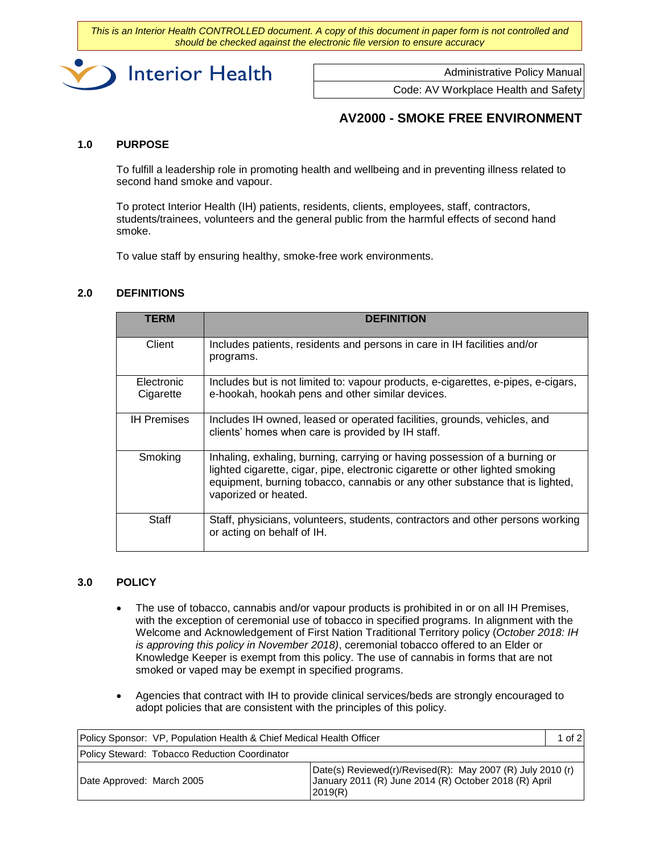*This is an Interior Health CONTROLLED document. A copy of this document in paper form is not controlled and should be checked against the electronic file version to ensure accuracy*



Administrative Policy Manual

Code: AV Workplace Health and Safety

## **AV2000 - SMOKE FREE ENVIRONMENT**

#### **1.0 PURPOSE**

To fulfill a leadership role in promoting health and wellbeing and in preventing illness related to second hand smoke and vapour.

To protect Interior Health (IH) patients, residents, clients, employees, staff, contractors, students/trainees, volunteers and the general public from the harmful effects of second hand smoke.

To value staff by ensuring healthy, smoke-free work environments.

## **2.0 DEFINITIONS**

| <b>TERM</b>             | <b>DEFINITION</b>                                                                                                                                                                                                                                                   |
|-------------------------|---------------------------------------------------------------------------------------------------------------------------------------------------------------------------------------------------------------------------------------------------------------------|
| Client                  | Includes patients, residents and persons in care in IH facilities and/or<br>programs.                                                                                                                                                                               |
| Electronic<br>Cigarette | Includes but is not limited to: vapour products, e-cigarettes, e-pipes, e-cigars,<br>e-hookah, hookah pens and other similar devices.                                                                                                                               |
| <b>IH Premises</b>      | Includes IH owned, leased or operated facilities, grounds, vehicles, and<br>clients' homes when care is provided by IH staff.                                                                                                                                       |
| Smoking                 | Inhaling, exhaling, burning, carrying or having possession of a burning or<br>lighted cigarette, cigar, pipe, electronic cigarette or other lighted smoking<br>equipment, burning tobacco, cannabis or any other substance that is lighted,<br>vaporized or heated. |
| Staff                   | Staff, physicians, volunteers, students, contractors and other persons working<br>or acting on behalf of IH.                                                                                                                                                        |

#### **3.0 POLICY**

- The use of tobacco, cannabis and/or vapour products is prohibited in or on all IH Premises, with the exception of ceremonial use of tobacco in specified programs. In alignment with the Welcome and Acknowledgement of First Nation Traditional Territory policy (*October 2018: IH is approving this policy in November 2018)*, ceremonial tobacco offered to an Elder or Knowledge Keeper is exempt from this policy. The use of cannabis in forms that are not smoked or vaped may be exempt in specified programs.
- Agencies that contract with IH to provide clinical services/beds are strongly encouraged to adopt policies that are consistent with the principles of this policy.

| Policy Sponsor: VP, Population Health & Chief Medical Health Officer |                                               |                                                                                                                                 | $1$ of $2$ |
|----------------------------------------------------------------------|-----------------------------------------------|---------------------------------------------------------------------------------------------------------------------------------|------------|
|                                                                      | Policy Steward: Tobacco Reduction Coordinator |                                                                                                                                 |            |
| Date Approved: March 2005                                            |                                               | [Date(s) Reviewed(r)/Revised(R): May 2007 (R) July 2010 (r)<br>January 2011 (R) June 2014 (R) October 2018 (R) April<br>2019(R) |            |